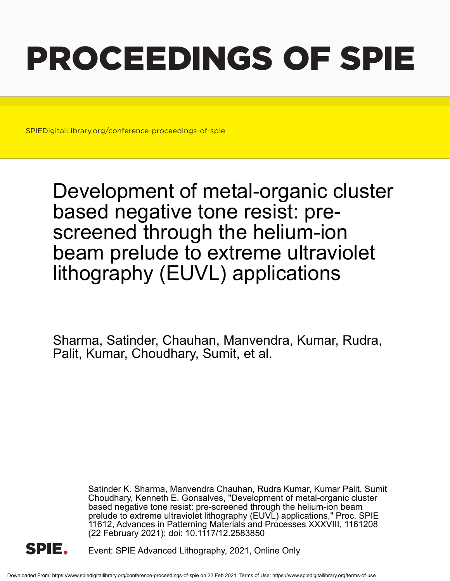# PROCEEDINGS OF SPIE

SPIEDigitalLibrary.org/conference-proceedings-of-spie

Development of metal-organic cluster based negative tone resist: prescreened through the helium-ion beam prelude to extreme ultraviolet lithography (EUVL) applications

Sharma, Satinder, Chauhan, Manvendra, Kumar, Rudra, Palit, Kumar, Choudhary, Sumit, et al.

> Satinder K. Sharma, Manvendra Chauhan, Rudra Kumar, Kumar Palit, Sumit Choudhary, Kenneth E. Gonsalves, "Development of metal-organic cluster based negative tone resist: pre-screened through the helium-ion beam prelude to extreme ultraviolet lithography (EUVL) applications," Proc. SPIE 11612, Advances in Patterning Materials and Processes XXXVIII, 1161208 (22 February 2021); doi: 10.1117/12.2583850



Event: SPIE Advanced Lithography, 2021, Online Only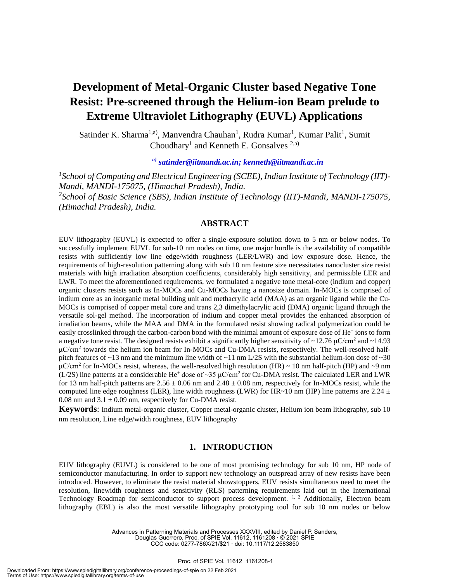# **Development of Metal-Organic Cluster based Negative Tone Resist: Pre-screened through the Helium-ion Beam prelude to Extreme Ultraviolet Lithography (EUVL) Applications**

Satinder K. Sharma<sup>1,a)</sup>, Manvendra Chauhan<sup>1</sup>, Rudra Kumar<sup>1</sup>, Kumar Palit<sup>1</sup>, Sumit Choudhary<sup>1</sup> and Kenneth E. Gonsalves<sup>2,a)</sup>

*a) satinder@iitmandi.ac.in; kenneth@iitmandi.ac.in*

*1 School of Computing and Electrical Engineering (SCEE), Indian Institute of Technology (IIT)- Mandi, MANDI-175075, (Himachal Pradesh), India. 2 School of Basic Science (SBS), Indian Institute of Technology (IIT)-Mandi, MANDI-175075, (Himachal Pradesh), India.*

# **ABSTRACT**

EUV lithography (EUVL) is expected to offer a single-exposure solution down to 5 nm or below nodes. To successfully implement EUVL for sub-10 nm nodes on time, one major hurdle is the availability of compatible resists with sufficiently low line edge/width roughness (LER/LWR) and low exposure dose. Hence, the requirements of high-resolution patterning along with sub 10 nm feature size necessitates nanocluster size resist materials with high irradiation absorption coefficients, considerably high sensitivity, and permissible LER and LWR. To meet the aforementioned requirements, we formulated a negative tone metal-core (indium and copper) organic clusters resists such as In-MOCs and Cu-MOCs having a nanosize domain. In-MOCs is comprised of indium core as an inorganic metal building unit and methacrylic acid (MAA) as an organic ligand while the Cu-MOCs is comprised of copper metal core and trans 2,3 dimethylacrylic acid (DMA) organic ligand through the versatile sol-gel method. The incorporation of indium and copper metal provides the enhanced absorption of irradiation beams, while the MAA and DMA in the formulated resist showing radical polymerization could be easily crosslinked through the carbon-carbon bond with the minimal amount of exposure dose of He<sup>+</sup> ions to form a negative tone resist. The designed resists exhibit a significantly higher sensitivity of  $\sim$ 12.76  $\mu$ C/cm<sup>2</sup> and  $\sim$ 14.93  $\mu$ C/cm<sup>2</sup> towards the helium ion beam for In-MOCs and Cu-DMA resists, respectively. The well-resolved halfpitch features of  $\sim$ 13 nm and the minimum line width of  $\sim$ 11 nm L/2S with the substantial helium-ion dose of  $\sim$ 30  $μC/cm<sup>2</sup>$  for In-MOCs resist, whereas, the well-resolved high resolution (HR) ~ 10 nm half-pitch (HP) and ~9 nm (L/2S) line patterns at a considerable He<sup>+</sup> dose of ~35  $\mu$ C/cm<sup>2</sup> for Cu-DMA resist. The calculated LER and LWR for 13 nm half-pitch patterns are  $2.56 \pm 0.06$  nm and  $2.48 \pm 0.08$  nm, respectively for In-MOCs resist, while the computed line edge roughness (LER), line width roughness (LWR) for HR~10 nm (HP) line patterns are 2.24  $\pm$ 0.08 nm and  $3.1 \pm 0.09$  nm, respectively for Cu-DMA resist.

**Keywords**: Indium metal-organic cluster, Copper metal-organic cluster, Helium ion beam lithography, sub 10 nm resolution, Line edge/width roughness, EUV lithography

### **1. INTRODUCTION**

EUV lithography (EUVL) is considered to be one of most promising technology for sub 10 nm, HP node of semiconductor manufacturing. In order to support new technology an outspread array of new resists have been introduced. However, to eliminate the resist material showstoppers, EUV resists simultaneous need to meet the resolution, linewidth roughness and sensitivity (RLS) patterning requirements laid out in the International Technology Roadmap for semiconductor to support process development. <sup>1, 2</sup> Additionally, Electron beam lithography (EBL) is also the most versatile lithography prototyping tool for sub 10 nm nodes or below

> Advances in Patterning Materials and Processes XXXVIII, edited by Daniel P. Sanders, Douglas Guerrero, Proc. of SPIE Vol. 11612, 1161208 · © 2021 SPIE CCC code: 0277-786X/21/\$21 · doi: 10.1117/12.2583850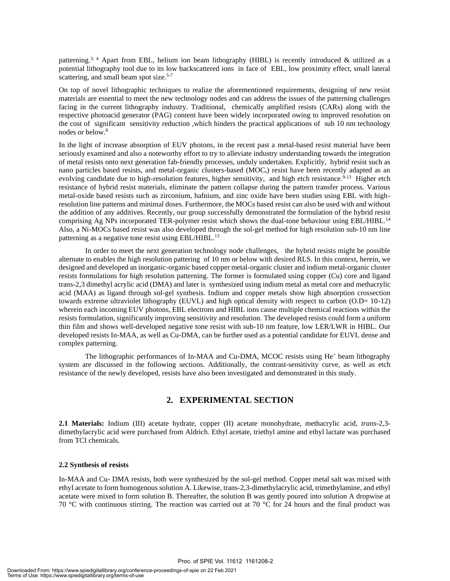patterning.<sup>3, 4</sup> Apart from EBL, helium ion beam lithography (HIBL) is recently introduced & utilized as a potential lithography tool due to its low backscattered ions in face of EBL, low proximity effect, small lateral scattering, and small beam spot size.<sup>5-7</sup>

On top of novel lithographic techniques to realize the aforementioned requirements, designing of new resist materials are essential to meet the new technology nodes and can address the issues of the patterning challenges facing in the current lithography industry. Traditional, chemically amplified resists (CARs) along with the respective photoacid generator (PAG) content have been widely incorporated owing to improved resolution on the cost of significant sensitivity reduction ,which hinders the practical applications of sub 10 nm technology nodes or below. 8

In the light of increase absorption of EUV photons, in the recent past a metal-based resist material have been seriously examined and also a noteworthy effort to try to alleviate industry understanding towards the integration of metal resists onto next generation fab-friendly processes, unduly undertaken. Explicitly, hybrid resist such as nano particles based resists, and metal-organic clusters-based (MOCs) resist have been recently adapted as an evolving candidate due to high-resolution features, higher sensitivity, and high etch resistance.<sup>9-13</sup> Higher etch resistance of hybrid resist materials, eliminate the pattern collapse during the pattern transfer process. Various metal-oxide based resists such as zirconium, hafnium, and zinc oxide have been studies using EBL with highresolution line patterns and minimal doses. Furthermore, the MOCs based resist can also be used with and without the addition of any additives. Recently, our group successfully demonstrated the formulation of the hybrid resist comprising Ag NPs incorporated TER-polymer resist which shows the dual-tone behaviour using EBL/HIBL.<sup>14</sup> Also, a Ni-MOCs based resist was also developed through the sol-gel method for high resolution sub-10 nm line patterning as a negative tone resist using EBL/HIBL.<sup>13</sup>

In order to meet the next generation technology node challenges, the hybrid resists might be possible alternate to enables the high resolution pattering of 10 nm or below with desired RLS. In this context, herein, we designed and developed an inorganic-organic based copper metal-organic cluster and indium metal-organic cluster resists formulations for high resolution patterning. The former is formulated using copper (Cu) core and ligand trans-2,3 dimethyl acrylic acid (DMA) and later is synthesized using indium metal as metal core and methacrylic acid (MAA) as ligand through sol-gel synthesis. Indium and copper metals show high absorption crossection towards extreme ultraviolet lithography (EUVL) and high optical density with respect to carbon (O.D= 10-12) wherein each incoming EUV photons, EBL electrons and HIBL ions cause multiple chemical reactions within the resists formulation, significantly improving sensitivity and resolution. The developed resists could form a uniform thin film and shows well-developed negative tone resist with sub-10 nm feature, low LER/LWR in HIBL. Our developed resists In-MAA, as well as Cu-DMA, can be further used as a potential candidate for EUVL dense and complex patterning.

The lithographic performances of In-MAA and Cu-DMA, MCOC resists using  $He<sup>+</sup>$  beam lithography system are discussed in the following sections. Additionally, the contrast-sensitivity curve, as well as etch resistance of the newly developed, resists have also been investigated and demonstrated in this study.

# **2. EXPERIMENTAL SECTION**

**2.1 Materials:** Indium (III) acetate hydrate, copper (II) acetate monohydrate, methacrylic acid, *trans*-2,3 dimethylacrylic acid were purchased from Aldrich. Ethyl acetate, triethyl amine and ethyl lactate was purchased from TCI chemicals.

#### **2.2 Synthesis of resists**

In-MAA and Cu- DMA resists, both were synthesized by the sol-gel method. Copper metal salt was mixed with ethyl acetate to form homogenous solution A. Likewise, trans-2,3-dimethylacrylic acid, trimethylamine, and ethyl acetate were mixed to form solution B. Thereafter, the solution B was gently poured into solution A dropwise at 70 °C with continuous stirring. The reaction was carried out at 70 °C for 24 hours and the final product was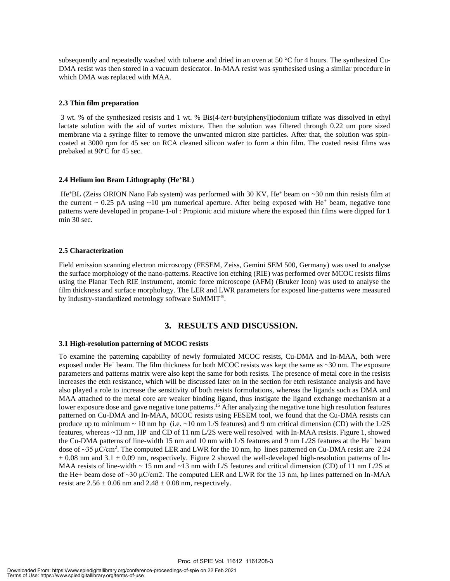subsequently and repeatedly washed with toluene and dried in an oven at 50 °C for 4 hours. The synthesized Cu-DMA resist was then stored in a vacuum desiccator. In-MAA resist was synthesised using a similar procedure in which DMA was replaced with MAA.

#### **2.3 Thin film preparation**

3 wt. % of the synthesized resists and 1 wt. % Bis(4-*tert*-butylphenyl)iodonium triflate was dissolved in ethyl lactate solution with the aid of vortex mixture. Then the solution was filtered through 0.22 um pore sized membrane via a syringe filter to remove the unwanted micron size particles. After that, the solution was spincoated at 3000 rpm for 45 sec on RCA cleaned silicon wafer to form a thin film. The coated resist films was prebaked at 90°C for 45 sec.

#### **2.4 Helium ion Beam Lithography (He<sup>+</sup>BL)**

He<sup>+</sup>BL (Zeiss ORION Nano Fab system) was performed with 30 KV, He<sup>+</sup> beam on ~30 nm thin resists film at the current  $\sim 0.25$  pA using  $\sim 10$  µm numerical aperture. After being exposed with He<sup>+</sup> beam, negative tone patterns were developed in propane-1-ol : Propionic acid mixture where the exposed thin films were dipped for 1 min 30 sec.

#### **2.5 Characterization**

Field emission scanning electron microscopy (FESEM, Zeiss, Gemini SEM 500, Germany) was used to analyse the surface morphology of the nano-patterns. Reactive ion etching (RIE) was performed over MCOC resists films using the Planar Tech RIE instrument, atomic force microscope (AFM) (Bruker Icon) was used to analyse the film thickness and surface morphology. The LER and LWR parameters for exposed line-patterns were measured by industry-standardized metrology software SuMMIT®.

# **3. RESULTS AND DISCUSSION.**

#### **3.1 High-resolution patterning of MCOC resists**

To examine the patterning capability of newly formulated MCOC resists, Cu-DMA and In-MAA, both were exposed under He<sup>+</sup> beam. The film thickness for both MCOC resists was kept the same as  $\sim$ 30 nm. The exposure parameters and patterns matrix were also kept the same for both resists. The presence of metal core in the resists increases the etch resistance, which will be discussed later on in the section for etch resistance analysis and have also played a role to increase the sensitivity of both resists formulations, whereas the ligands such as DMA and MAA attached to the metal core are weaker binding ligand, thus instigate the ligand exchange mechanism at a lower exposure dose and gave negative tone patterns.<sup>15</sup> After analyzing the negative tone high resolution features patterned on Cu-DMA and In-MAA, MCOC resists using FESEM tool, we found that the Cu-DMA resists can produce up to minimum  $\sim$  10 nm hp (i.e.  $\sim$  10 nm L/S features) and 9 nm critical dimension (CD) with the L/2S features, whereas ~13 nm, HP and CD of 11 nm L/2S were well resolved with In-MAA resists. Figure 1, showed the Cu-DMA patterns of line-width 15 nm and 10 nm with L/S features and 9 nm L/2S features at the He<sup>+</sup> beam dose of  $\sim$ 35 µC/cm<sup>2</sup>. The computed LER and LWR for the 10 nm, hp lines patterned on Cu-DMA resist are 2.24  $\pm$  0.08 nm and 3.1  $\pm$  0.09 nm, respectively. Figure 2 showed the well-developed high-resolution patterns of In-MAA resists of line-width  $\sim 15$  nm and  $\sim 13$  nm with L/S features and critical dimension (CD) of 11 nm L/2S at the He+ beam dose of ~30 μC/cm2. The computed LER and LWR for the 13 nm, hp lines patterned on In-MAA resist are  $2.56 \pm 0.06$  nm and  $2.48 \pm 0.08$  nm, respectively.

Proc. of SPIE Vol. 11612 1161208-3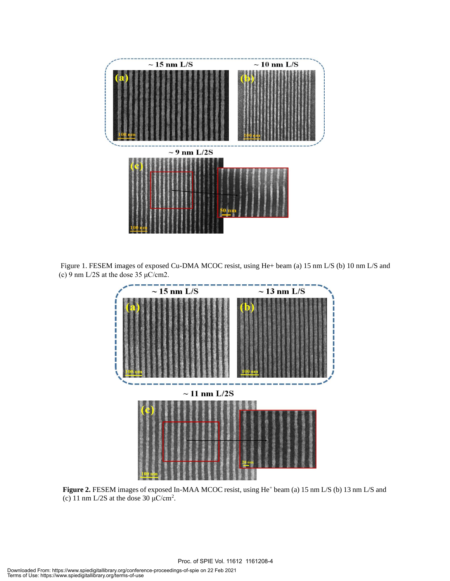

Figure 1. FESEM images of exposed Cu-DMA MCOC resist, using He+ beam (a) 15 nm L/S (b) 10 nm L/S and (c) 9 nm L/2S at the dose 35  $\mu$ C/cm2.



Figure 2. FESEM images of exposed In-MAA MCOC resist, using He<sup>+</sup> beam (a) 15 nm L/S (b) 13 nm L/S and (c) 11 nm L/2S at the dose 30  $\mu$ C/cm<sup>2</sup>.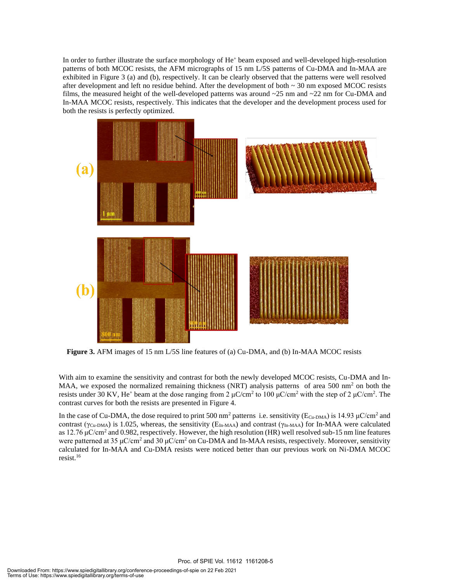In order to further illustrate the surface morphology of He<sup>+</sup> beam exposed and well-developed high-resolution patterns of both MCOC resists, the AFM micrographs of 15 nm L/5S patterns of Cu-DMA and In-MAA are exhibited in Figure 3 (a) and (b), respectively. It can be clearly observed that the patterns were well resolved after development and left no residue behind. After the development of both  $\sim$  30 nm exposed MCOC resists films, the measured height of the well-developed patterns was around ~25 nm and ~22 nm for Cu-DMA and In-MAA MCOC resists, respectively. This indicates that the developer and the development process used for both the resists is perfectly optimized.



**Figure 3.** AFM images of 15 nm L/5S line features of (a) Cu-DMA, and (b) In-MAA MCOC resists

With aim to examine the sensitivity and contrast for both the newly developed MCOC resists, Cu-DMA and In-MAA, we exposed the normalized remaining thickness (NRT) analysis patterns of area 500 nm<sup>2</sup> on both the resists under 30 KV, He<sup>+</sup> beam at the dose ranging from 2  $\mu$ C/cm<sup>2</sup> to 100  $\mu$ C/cm<sup>2</sup> with the step of 2  $\mu$ C/cm<sup>2</sup>. The contrast curves for both the resists are presented in Figure 4.

In the case of Cu-DMA, the dose required to print 500 nm<sup>2</sup> patterns i.e. sensitivity ( $E_{Cu-DMA}$ ) is 14.93  $\mu$ C/cm<sup>2</sup> and contrast ( $\gamma_{Cu-DMA}$ ) is 1.025, whereas, the sensitivity ( $E_{In-MAA}$ ) and contrast ( $\gamma_{In-MAA}$ ) for In-MAA were calculated as 12.76  $\mu$ C/cm<sup>2</sup> and 0.982, respectively. However, the high resolution (HR) well resolved sub-15 nm line features were patterned at 35  $\mu$ C/cm<sup>2</sup> and 30  $\mu$ C/cm<sup>2</sup> on Cu-DMA and In-MAA resists, respectively. Moreover, sensitivity calculated for In-MAA and Cu-DMA resists were noticed better than our previous work on Ni-DMA MCOC resist.<sup>16</sup>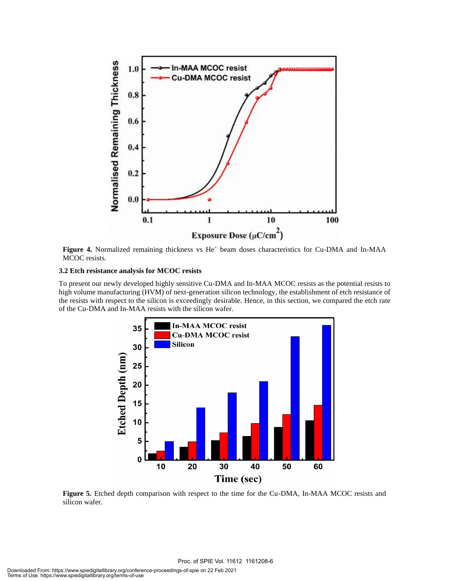

Figure 4. Normalized remaining thickness vs He<sup>+</sup> beam doses characteristics for Cu-DMA and In-MAA MCOC resists.

#### **3.2 Etch resistance analysis for MCOC resists**

To present our newly developed highly sensitive Cu-DMA and In-MAA MCOC resists as the potential resists to high volume manufacturing (HVM) of next-generation silicon technology, the establishment of etch resistance of the resists with respect to the silicon is exceedingly desirable. Hence, in this section, we compared the etch rate of the Cu-DMA and In-MAA resists with the silicon wafer.



**Figure 5.** Etched depth comparison with respect to the time for the Cu-DMA, In-MAA MCOC resists and silicon wafer.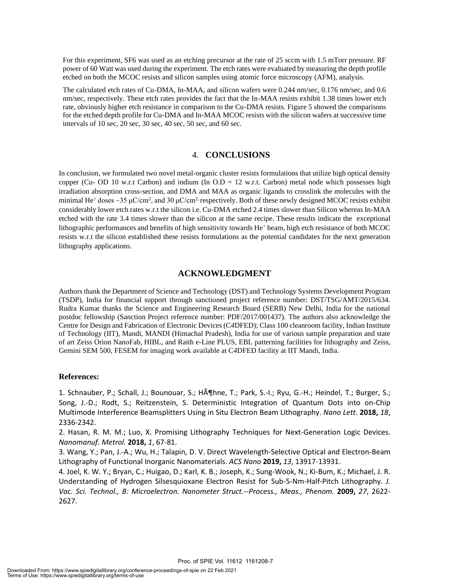For this experiment, SF6 was used as an etching precursor at the rate of 25 sccm with 1.5 mTorr pressure. RF power of 60 Watt was used during the experiment. The etch rates were evaluated by measuring the depth profile etched on both the MCOC resists and silicon samples using atomic force microscopy (AFM), analysis.

The calculated etch rates of Cu-DMA, In-MAA, and silicon wafers were 0.244 nm/sec, 0.176 nm/sec, and 0.6 nm/sec, respectively. These etch rates provides the fact that the In-MAA resists exhibit 1.38 times lower etch rate, obviously higher etch resistance in comparison to the Cu-DMA resists. Figure 5 showed the comparisons for the etched depth profile for Cu-DMA and In-MAA MCOC resists with the silicon wafers at successive time intervals of 10 sec, 20 sec, 30 sec, 40 sec, 50 sec, and 60 sec.

#### 4. **CONCLUSIONS**

In conclusion, we formulated two novel metal-organic cluster resists formulations that utilize high optical density copper (Cu- OD 10 w.r.t Carbon) and indium (In  $O.D = 12$  w.r.t. Carbon) metal node which possesses high irradiation absorption cross-section, and DMA and MAA as organic ligands to crosslink the molecules with the minimal He<sup>+</sup> doses ~35  $\mu$ C/cm<sup>2</sup>, and 30  $\mu$ C/cm<sup>2,</sup> respectively. Both of these newly designed MCOC resists exhibit considerably lower etch rates w.r.t the silicon i.e. Cu-DMA etched 2.4 times slower than Silicon whereas In-MAA etched with the rate 3.4 times slower than the silicon at the same recipe. These results indicate the exceptional lithographic performances and benefits of high sensitivity towards He<sup>+</sup> beam, high etch resistance of both MCOC resists w.r.t the silicon established these resists formulations as the potential candidates for the next generation lithography applications.

#### **ACKNOWLEDGMENT**

Authors thank the Department of Science and Technology (DST) and Technology Systems Development Program (TSDP), India for financial support through sanctioned project reference number: DST/TSG/AMT/2015/634. Rudra Kumar thanks the Science and Engineering Research Board (SERB) New Delhi, India for the national postdoc fellowship (Sanction Project reference number: PDF/2017/001437). The authors also acknowledge the Centre for Design and Fabrication of Electronic Devices (C*4*DFED); Class 100 cleanroom facility, Indian Institute of Technology (IIT), Mandi, MANDI (Himachal Pradesh), India for use of various sample preparation and state of art Zeiss Orion NanoFab, HIBL, and Raith e-Line PLUS, EBL patterning facilities for lithography and Zeiss, Gemini SEM 500, FESEM for imaging work available at C*4*DFED facility at IIT Mandi, India.

#### **References:**

1. Schnauber, P.; Schall, J.; Bounouar, S.; H $\tilde{A}$ ¶hne, T.; Park, S.-I.; Ryu, G.-H.; Heindel, T.; Burger, S.; Song, J.-D.; Rodt, S.; Reitzenstein, S. Deterministic Integration of Quantum Dots into on-Chip Multimode Interference Beamsplitters Using in Situ Electron Beam Lithography. *Nano Lett.* **2018,** *18*, 2336-2342.

2. Hasan, R. M. M.; Luo, X. Promising Lithography Techniques for Next-Generation Logic Devices. *Nanomanuf. Metrol.* **2018,** *1*, 67-81.

3. Wang, Y.; Pan, J.-A.; Wu, H.; Talapin, D. V. Direct Wavelength-Selective Optical and Electron-Beam Lithography of Functional Inorganic Nanomaterials. *ACS Nano* **2019,** *13*, 13917-13931.

4. Joel, K. W. Y.; Bryan, C.; Huigao, D.; Karl, K. B.; Joseph, K.; Sung-Wook, N.; Ki-Bum, K.; Michael, J. R. Understanding of Hydrogen Silsesquioxane Electron Resist for Sub-5-Nm-Half-Pitch Lithography. *J. Vac. Sci. Technol., B: Microelectron. Nanometer Struct.--Process., Meas., Phenom.* **2009,** *27*, 2622- 2627.